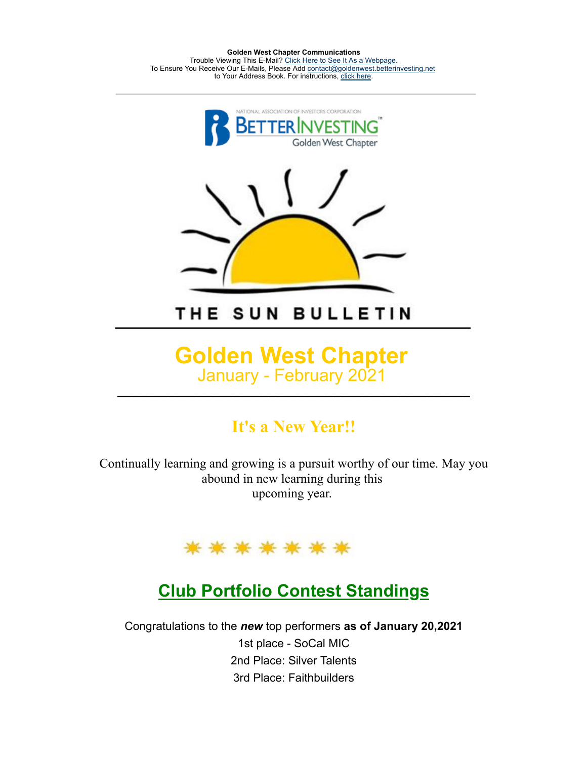**Golden West Chapter Communications** Trouble Viewing This E-Mail? [Click Here to See It As a Webpage.](https://lists.betterinvesting.org/display.php?M=2575420&C=303bad373250c96a4975847118bd08c1&L=175&N=15018) To Ensure You Receive Our E-Mails, Please Add [contact@goldenwest.betterinvesting.net](mailto:contact@goldenwest.betterinvesting.net) to Your Address Book. For instructions, [click here.](http://lists.betterinvesting.org/mailresources/images/whitelist/instructions.html)



THE SUN BULLETIN

#### **Golden West Chapter** January - February 2021 **\_\_\_\_\_\_\_\_\_\_\_\_\_\_\_\_\_\_\_\_\_\_\_\_\_\_\_\_\_\_\_\_\_\_\_\_\_\_\_\_\_\_\_\_\_\_\_\_\_**

#### **It's a New Year!!**

Continually learning and growing is a pursuit worthy of our time. May you abound in new learning during this upcoming year.



#### **Club Portfolio Contest Standings**

Congratulations to the *new* top performers **as of January 20,2021** 1st place - SoCal MIC 2nd Place: Silver Talents 3rd Place: Faithbuilders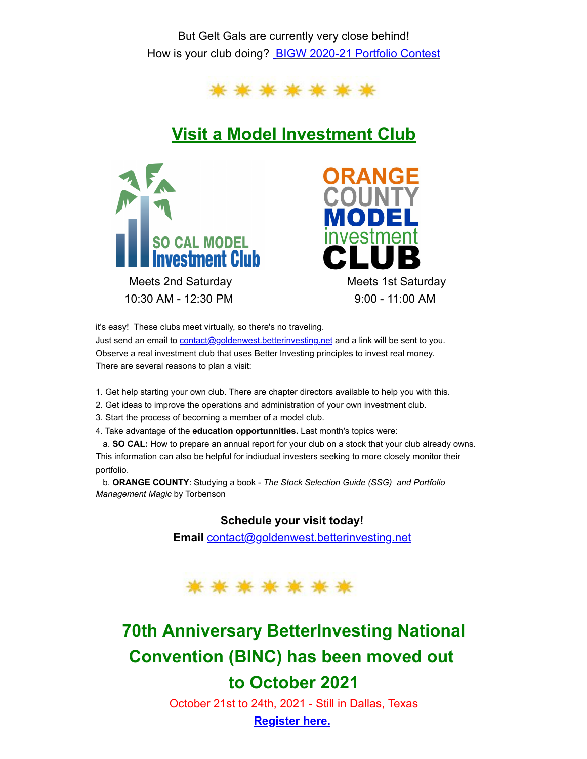But Gelt Gals are currently very close behind! How is your club doing? [BIGW 2020-21 Portfolio Contest](https://docs.google.com/spreadsheets/d/1fkNrsb4abRJS-piNQwSGFajA0l5YvYL5qoqiUynTWmA/edit#gid=1150469298)



### **Visit a Model Investment Club**





it's easy! These clubs meet virtually, so there's no traveling.

Just send an email to **contact@goldenwest.betterinvesting** net and a link will be sent to you. Observe a real investment club that uses Better Investing principles to invest real money. There are several reasons to plan a visit:

- 1. Get help starting your own club. There are chapter directors available to help you with this.
- 2. Get ideas to improve the operations and administration of your own investment club.
- 3. Start the process of becoming a member of a model club.
- 4. Take advantage of the **education opportunnities.** Last month's topics were:

a. **SO CAL:** How to prepare an annual report for your club on a stock that your club already owns. This information can also be helpful for indiudual investers seeking to more closely monitor their portfolio.

b. **ORANGE COUNTY**: Studying a book - *The Stock Selection Guide (SSG) and Portfolio Management Magic* by Torbenson

#### **Schedule your visit today!**

**Email** [contact@goldenwest.betterinvesting.net](mailto:contact@goldenwest.betterinvesting.net)



# **70th Anniversary BetterInvesting National Convention (BINC) has been moved out to October 2021**

October 21st to 24th, 2021 - Still in Dallas, Texas **[Register](https://hello.betterinvesting.org/binc2021) here.**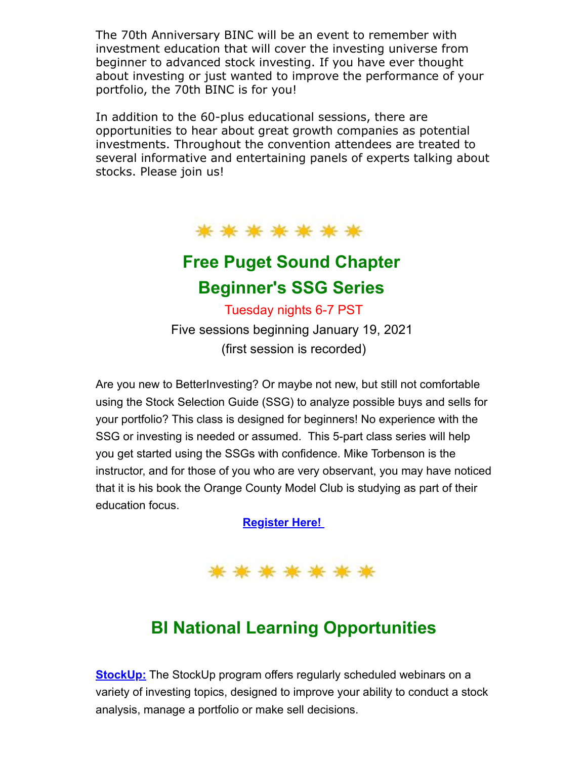The 70th Anniversary BINC will be an event to remember with investment education that will cover the investing universe from beginner to advanced stock investing. If you have ever thought about investing or just wanted to improve the performance of your portfolio, the 70th BINC is for you!

In addition to the 60-plus educational sessions, there are opportunities to hear about great growth companies as potential investments. Throughout the convention attendees are treated to several informative and entertaining panels of experts talking about stocks. Please join us!

\*\*\*\*\*\*\*

## **Free Puget Sound Chapter Beginner's SSG Series**

Tuesday nights 6-7 PST

Five sessions beginning January 19, 2021 (first session is recorded)

Are you new to BetterInvesting? Or maybe not new, but still not comfortable using the Stock Selection Guide (SSG) to analyze possible buys and sells for your portfolio? This class is designed for beginners! No experience with the SSG or investing is needed or assumed. This 5-part class series will help you get started using the SSGs with confidence. Mike Torbenson is the instructor, and for those of you who are very observant, you may have noticed that it is his book the Orange County Model Club is studying as part of their education focus.

**[Register Here!](https://register.gotowebinar.com/register/6531296293651352332?utm_source=MailingList&utm_medium=email&utm_campaign=Beginner%27s+SSG+Classes+--+Starting+January+19)**



## **BI National Learning Opportunities**

**[StockUp:](https://www.betterinvesting.org/members/learning-center/stockup)** The StockUp program offers regularly scheduled webinars on a variety of investing topics, designed to improve your ability to conduct a stock analysis, manage a portfolio or make sell decisions.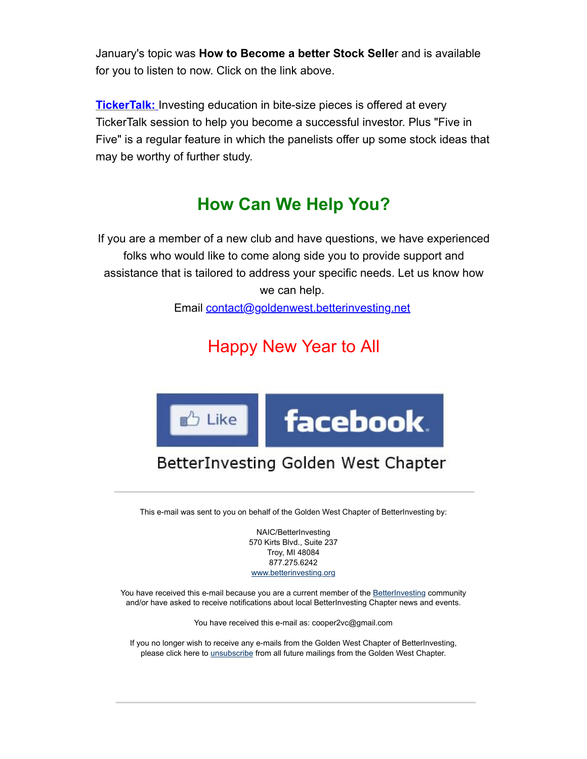January's topic was **How to Become a better Stock Selle**r and is available for you to listen to now. Click on the link above.

**[TickerTalk:](https://www.betterinvesting.org/members/learning-center/video-learning-library/video-library?p=2024)** [I](https://lists.betterinvesting.org/admin/index.php?Page=Newsletters&Action=View&id=15018)nvesting education in bite-size pieces is offered at every TickerTalk session to help you become a successful investor. Plus "Five in Five" is a regular feature in which the panelists offer up some stock ideas that may be worthy of further study.

### **How Can We Help You?**

If you are a member of a new club and have questions, we have experienced folks who would like to come along side you to provide support and assistance that is tailored to address your specific needs. Let us know how we can help.

Email [contact@goldenwest.betterinvesting.net](mailto:contact@goldenwest.betterinvesting.net)

# Happy New Year to All



# BetterInvesting Golden West Chapter

This e-mail was sent to you on behalf of the Golden West Chapter of BetterInvesting by:

NAIC/BetterInvesting 570 Kirts Blvd., Suite 237 Troy, MI 48084 877.275.6242 [www.betterinvesting.org](http://www.betterinvesting.org/)

You have received this e-mail because you are a current member of the **BetterInvesting community** and/or have asked to receive notifications about local BetterInvesting Chapter news and events.

You have received this e-mail as: cooper2vc@gmail.com

If you no longer wish to receive any e-mails from the Golden West Chapter of BetterInvesting, please click here to *[unsubscribe](https://lists.betterinvesting.org/unsubscribe.php?&M=2575420&N=21067&L=175&C=303bad373250c96a4975847118bd08c1)* from all future mailings from the Golden West Chapter.